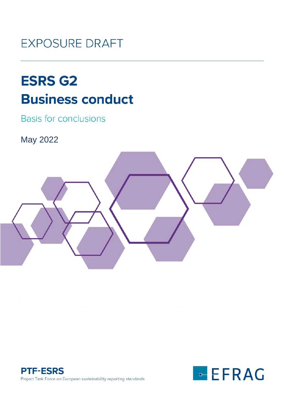# **EXPOSURE DRAFT**

# **ESRS G2 Business conduct**

**Basis for conclusions** 

May 2022





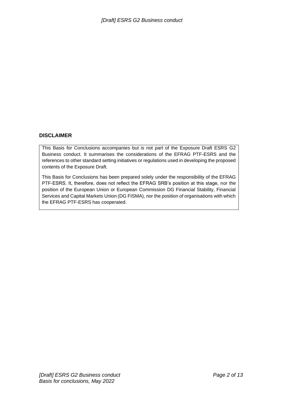#### **DISCLAIMER**

This Basis for Conclusions accompanies but is not part of the Exposure Draft ESRS G2 Business conduct. It summarises the considerations of the EFRAG PTF-ESRS and the references to other standard setting initiatives or regulations used in developing the proposed contents of the Exposure Draft.

This Basis for Conclusions has been prepared solely under the responsibility of the EFRAG PTF-ESRS. It, therefore, does not reflect the EFRAG SRB's position at this stage, nor the position of the European Union or European Commission DG Financial Stability, Financial Services and Capital Markets Union (DG FISMA), nor the position of organisations with which the EFRAG PTF-ESRS has cooperated.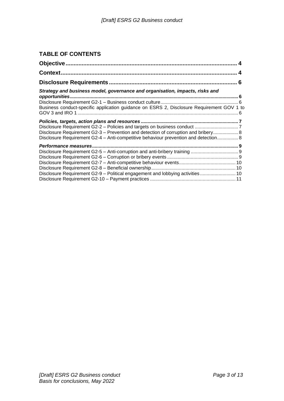## **TABLE OF CONTENTS**

| Context.                                                                                  |  |
|-------------------------------------------------------------------------------------------|--|
|                                                                                           |  |
| Strategy and business model, governance and organisation, impacts, risks and              |  |
|                                                                                           |  |
| Business conduct-specific application guidance on ESRS 2, Disclosure Requirement GOV 1 to |  |
|                                                                                           |  |
|                                                                                           |  |
| Disclosure Requirement G2-3 – Prevention and detection of corruption and bribery 8        |  |
| Disclosure Requirement G2-4 - Anti-competitive behaviour prevention and detection 8       |  |
| Performance measures                                                                      |  |
|                                                                                           |  |
|                                                                                           |  |
|                                                                                           |  |
|                                                                                           |  |
| Disclosure Requirement G2-9 - Political engagement and lobbying activities 10             |  |
|                                                                                           |  |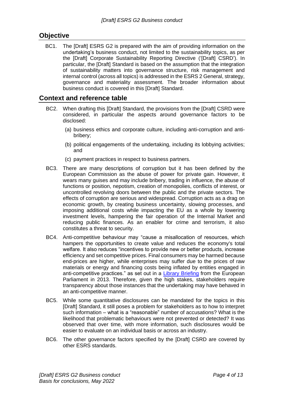# <span id="page-3-0"></span>**Objective**

BC1. The [Draft] ESRS G2 is prepared with the aim of providing information on the undertaking's business conduct, not limited to the sustainability topics, as per the [Draft] Corporate Sustainability Reporting Directive ('[Draft] CSRD'). In particular, the [Draft] Standard is based on the assumption that the integration of sustainability matters into governance structure, risk management and internal control (across all topics) is addressed in the ESRS 2 General, strategy, governance and materiality assessment. The broader information about business conduct is covered in this [Draft] Standard.

## <span id="page-3-1"></span>**Context and reference table**

- BC2. When drafting this [Draft] Standard, the provisions from the [Draft] CSRD were considered, in particular the aspects around governance factors to be disclosed:
	- (a) business ethics and corporate culture, including anti-corruption and antibribery;
	- (b) political engagements of the undertaking, including its lobbying activities; and
	- (c) payment practices in respect to business partners.
- BC3. There are many descriptions of corruption but it has been defined by the European Commission as the abuse of power for private gain. However, it wears many guises and may include bribery, trading in influence, the abuse of functions or position, nepotism, creation of monopolies, conflicts of interest, or uncontrolled revolving doors between the public and the private sectors. The effects of corruption are serious and widespread. Corruption acts as a drag on economic growth, by creating business uncertainty, slowing processes, and imposing additional costs while impacting the EU as a whole by lowering investment levels, hampering the fair operation of the Internal Market and reducing public finances. As an enabler for crime and terrorism, it also constitutes a threat to security.
- BC4. Anti-competitive behaviour may "cause a misallocation of resources, which hampers the opportunities to create value and reduces the economy's total welfare. It also reduces "incentives to provide new or better products, increase efficiency and set competitive prices. Final consumers may be harmed because end-prices are higher, while enterprises may suffer due to the prices of raw materials or energy and financing costs being inflated by entities engaged in anti-competitive practices." as set out in a [Library Briefing](https://www.europarl.europa.eu/RegData/bibliotheque/briefing/2013/130598/LDM_BRI(2013)130598_REV1_EN.pdf) from the European Parliament in 2013. Therefore, given the high stakes, stakeholders require transparency about those instances that the undertaking may have behaved in an anti-competitive manner.
- BC5. While some quantitative disclosures can be mandated for the topics in this [Draft] Standard, it still poses a problem for stakeholders as to how to interpret such information – what is a "reasonable" number of accusations? What is the likelihood that problematic behaviours were not prevented or detected? It was observed that over time, with more information, such disclosures would be easier to evaluate on an individual basis or across an industry.
- BC6. The other governance factors specified by the [Draft] CSRD are covered by other ESRS standards.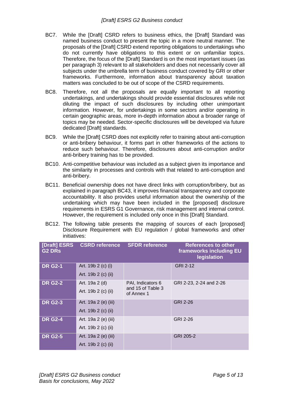- BC7. While the [Draft] CSRD refers to business ethics, the [Draft] Standard was named business conduct to present the topic in a more neutral manner. The proposals of the [Draft] CSRD extend reporting obligations to undertakings who do not currently have obligations to this extent or on unfamiliar topics. Therefore, the focus of the [Draft] Standard is on the most important issues (as per paragraph 3) relevant to all stakeholders and does not necessarily cover all subjects under the umbrella term of business conduct covered by GRI or other frameworks. Furthermore, information about transparency about taxation matters was concluded to be out of scope of the CSRD requirements.
- BC8. Therefore, not all the proposals are equally important to all reporting undertakings, and undertakings should provide essential disclosures while not diluting the impact of such disclosures by including other unimportant information. However, for undertakings in some sectors and/or operating in certain geographic areas, more in-depth information about a broader range of topics may be needed. Sector-specific disclosures will be developed via future dedicated [Draft] standards.
- BC9. While the [Draft] CSRD does not explicitly refer to training about anti-corruption or anti-bribery behaviour, it forms part in other frameworks of the actions to reduce such behaviour. Therefore, disclosures about anti-corruption and/or anti-bribery training has to be provided.
- BC10. Anti-competitive behaviour was included as a subject given its importance and the similarity in processes and controls with that related to anti-corruption and anti-bribery.
- BC11. Beneficial ownership does not have direct links with corruption/bribery, but as explained in paragraph [BC43,](#page-9-3) it improves financial transparency and corporate accountability. It also provides useful information about the ownership of the undertaking which may have been included in the [proposed] disclosure requirements in ESRS G1 Governance, risk management and internal control. However, the requirement is included only once in this [Draft] Standard.
- BC12. The following table presents the mapping of sources of each [proposed] Disclosure Requirement with EU regulation / global frameworks and other initiatives:

| [Draft] ESRS<br><b>G2 DRs</b> | <b>CSRD reference</b> | <b>SFDR reference</b>           | <b>References to other</b><br>frameworks including EU<br>legislation |
|-------------------------------|-----------------------|---------------------------------|----------------------------------------------------------------------|
| <b>DR G2-1</b>                | Art. 19b 2 (c) (i)    |                                 | <b>GRI 2-12</b>                                                      |
|                               | Art. 19b 2 (c) (ii)   |                                 |                                                                      |
| <b>DR G2-2</b>                | Art. 19a 2 (d)        | PAI, Indicators 6               | GRI 2-23, 2-24 and 2-26                                              |
|                               | Art. 19b 2 (c) (ii)   | and 15 of Table 3<br>of Annex 1 |                                                                      |
| <b>DR G2-3</b>                | Art. 19a 2 (e) (iii)  |                                 | GRI 2-26                                                             |
|                               | Art. 19b 2 (c) (ii)   |                                 |                                                                      |
| <b>DR G2-4</b>                | Art. 19a 2 (e) (iii)  |                                 | GRI 2-26                                                             |
|                               | Art. 19b 2 (c) (ii)   |                                 |                                                                      |
| <b>DR G2-5</b>                | Art. 19a 2 (e) (iii)  |                                 | GRI 205-2                                                            |
|                               | Art. 19b 2 (c) (ii)   |                                 |                                                                      |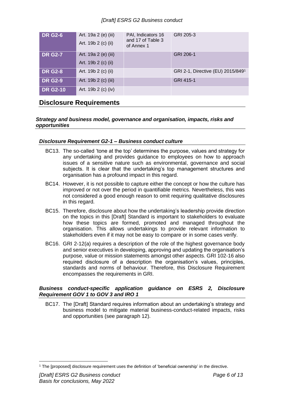#### *[Draft] ESRS G2 Business conduct*

| <b>DR G2-6</b>  | Art. 19a 2 (e) (iii)<br>Art. 19b 2 (c) (ii) | PAI, Indicators 16<br>and 17 of Table 3<br>of Annex 1 | GRI 205-3                         |
|-----------------|---------------------------------------------|-------------------------------------------------------|-----------------------------------|
| <b>DR G2-7</b>  | Art. 19a 2 (e) (iii)<br>Art. 19b 2 (c) (ii) |                                                       | GRI 206-1                         |
| <b>DR G2-8</b>  | Art. 19b 2 (c) (ii)                         |                                                       | GRI 2-1, Directive (EU) 2015/8491 |
| <b>DR G2-9</b>  | Art. 19b 2 (c) (iii)                        |                                                       | GRI 415-1                         |
| <b>DR G2-10</b> | Art. 19b 2 (c) (iv)                         |                                                       |                                   |

# <span id="page-5-0"></span>**Disclosure Requirements**

#### <span id="page-5-1"></span>*Strategy and business model, governance and organisation, impacts, risks and opportunities*

#### <span id="page-5-2"></span>*Disclosure Requirement G2-1 – Business conduct culture*

- BC13. The so-called 'tone at the top' determines the purpose, values and strategy for any undertaking and provides guidance to employees on how to approach issues of a sensitive nature such as environmental, governance and social subjects. It is clear that the undertaking's top management structures and organisation has a profound impact in this regard.
- BC14. However, it is not possible to capture either the concept or how the culture has improved or not over the period in quantifiable metrics. Nevertheless, this was not considered a good enough reason to omit requiring qualitative disclosures in this regard.
- BC15. Therefore, disclosure about how the undertaking's leadership provide direction on the topics in this [Draft] Standard is important to stakeholders to evaluate how these topics are formed, promoted and managed throughout the organisation. This allows undertakings to provide relevant information to stakeholders even if it may not be easy to compare or in some cases verify.
- BC16. GRI 2-12(a) requires a description of the role of the highest governance body and senior executives in developing, approving and updating the organisation's purpose, value or mission statements amongst other aspects. GRI 102-16 also required disclosure of a description the organisation's values, principles, standards and norms of behaviour. Therefore, this Disclosure Requirement encompasses the requirements in GRI.

#### <span id="page-5-3"></span>*Business conduct-specific application guidance on ESRS 2, Disclosure Requirement GOV 1 to GOV 3 and IRO 1*

BC17. The [Draft] Standard requires information about an undertaking's strategy and business model to mitigate material business-conduct-related impacts, risks and opportunities (see paragraph 12).

<sup>1</sup> The [proposed] disclosure requirement uses the definition of 'beneficial ownership' in the directive.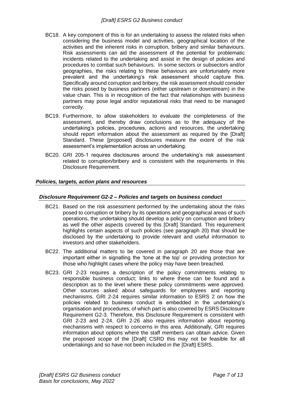- BC18. A key component of this is for an undertaking to assess the related risks when considering the business model and activities, geographical location of the activities and the inherent risks in corruption, bribery and similar behaviours. Risk assessments can aid the assessment of the potential for problematic incidents related to the undertaking and assist in the design of policies and procedures to combat such behaviours. In some sectors or subsectors and/or geographies, the risks relating to these behaviours are unfortunately more prevalent and the undertaking's risk assessment should capture this. Specifically around corruption and bribery, the risk assessment should consider the risks posed by business partners (either upstream or downstream) in the value chain. This is in recognition of the fact that relationships with business partners may pose legal and/or reputational risks that need to be managed correctly.
- BC19. Furthermore, to allow stakeholders to evaluate the completeness of the assessment, and thereby draw conclusions as to the adequacy of the undertaking's policies, procedures, actions and resources, the undertaking should report information about the assessment as required by the [Draft] Standard. These [proposed] disclosures measure the extent of the risk assessment's implementation across an undertaking.
- BC20. GRI 205-1 requires disclosures around the undertaking's risk assessment related to corruption/bribery and is consistent with the requirements in this Disclosure Requirement.

#### <span id="page-6-0"></span>*Policies, targets, action plans and resources*

#### <span id="page-6-1"></span>*Disclosure Requirement G2-2 – Policies and targets on business conduct*

- BC21. Based on the risk assessment performed by the undertaking about the risks posed to corruption or bribery by its operations and geographical areas of such operations, the undertaking should develop a policy on corruption and bribery as well the other aspects covered by this [Draft] Standard. This requirement highlights certain aspects of such policies (see paragraph 20) that should be disclosed by the undertaking to provide relevant and useful information to investors and other stakeholders.
- BC22. The additional matters to be covered in paragraph 20 are those that are important either in signalling the 'tone at the top' or providing protection for those who highlight cases where the policy may have been breached.
- BC23. GRI 2-23 requires a description of the policy commitments relating to responsible business conduct; links to where these can be found and a description as to the level where these policy commitments were approved. Other sources asked about safeguards for employees and reporting mechanisms. GRI 2-24 requires similar information to ESRS 2 on how the policies related to business conduct is embedded in the undertaking's organisation and procedures, of which part is also covered by ESRS Disclosure Requirement G2-3. Therefore, this Disclosure Requirement is consistent with GRI 2-23 and 2-24. GRI 2-26 also requires information about reporting mechanisms with respect to concerns in this area. Additionally, GRI requires information about options where the staff members can obtain advice. Given the proposed scope of the [Draft] CSRD this may not be feasible for all undertakings and so have not been included in the [Draft] ESRS.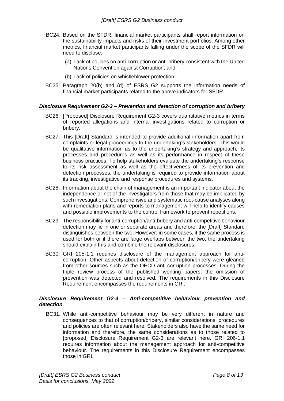- BC24. Based on the SFDR, financial market participants shall report information on the sustainability impacts and risks of their investment portfolios. Among other metrics, financial market participants falling under the scope of the SFDR will need to disclose:
	- (a) Lack of policies on anti-corruption or anti-bribery consistent with the United Nations Convention against Corruption; and
	- (b) Lack of policies on whistleblower protection.
- BC25. Paragraph 20(b) and (d) of ESRS G2 supports the information needs of financial market participants related to the above indicators for SFDR.

#### <span id="page-7-0"></span>*Disclosure Requirement G2-3 – Prevention and detection of corruption and bribery*

- BC26. [Proposed] Disclosure Requirement G2-3 covers quantitative metrics in terms of reported allegations and internal investigations related to corruption or bribery.
- BC27. This [Draft] Standard is intended to provide additional information apart from complaints or legal proceedings to the undertaking's stakeholders. This would be qualitative information as to the undertaking's strategy and approach, its processes and procedures as well as its performance in respect of these business practices. To help stakeholders evaluate the undertaking's response to its risk assessment as well as the effectiveness of its prevention and detection processes, the undertaking is required to provide information about its tracking, investigative and response procedures and systems.
- BC28. Information about the chain of management is an important indicator about the independence or not of the investigators from those that may be implicated by such investigations. Comprehensive and systematic root-cause analyses along with remediation plans and reports to management will help to identify causes and possible improvements to the control framework to prevent repetitions.
- BC29. The responsibility for anti-corruption/anti-bribery and anti-competitive behaviour detection may lie in one or separate areas and therefore, the [Draft] Standard distinguishes between the two. However, in some cases, if the same process is used for both or if there are large overlaps between the two, the undertaking should explain this and combine the relevant disclosures.
- BC30. GRI 205-1.1 requires disclosure of the management approach for anticorruption. Other aspects about detection of corruption/bribery were gleaned from other sources such as the OECD anti-corruption processes. During the triple review process of the published working papers, the omission of prevention was detected and resolved. The requirements in this Disclosure Requirement encompasses the requirements in GRI.

#### <span id="page-7-1"></span>*Disclosure Requirement G2-4 – Anti-competitive behaviour prevention and detection*

<span id="page-7-2"></span>BC31. While anti-competitive behaviour may be very different in nature and consequences to that of corruption/bribery, similar considerations, procedures and policies are often relevant here. Stakeholders also have the same need for information and therefore, the same considerations as to those related to [proposed] Disclosure Requirement G2-3 are relevant here. GRI 206-1.1 requires information about the management approach for anti-competitive behaviour. The requirements in this Disclosure Requirement encompasses those in GRI.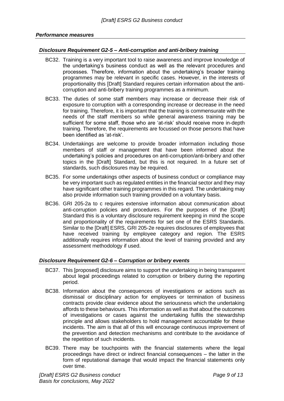#### <span id="page-8-0"></span>*Performance measures*

#### <span id="page-8-1"></span>*Disclosure Requirement G2-5 – Anti-corruption and anti-bribery training*

- BC32. Training is a very important tool to raise awareness and improve knowledge of the undertaking's business conduct as well as the relevant procedures and processes. Therefore, information about the undertaking's broader training programmes may be relevant in specific cases. However, in the interests of proportionality this [Draft] Standard requires certain information about the anticorruption and anti-bribery training programmes as a minimum.
- BC33. The duties of some staff members may increase or decrease their risk of exposure to corruption with a corresponding increase or decrease in the need for training. Therefore, it is important that the training is commensurate with the needs of the staff members so while general awareness training may be sufficient for some staff, those who are 'at-risk' should receive more in-depth training. Therefore, the requirements are focussed on those persons that have been identified as 'at-risk'.
- BC34. Undertakings are welcome to provide broader information including those members of staff or management that have been informed about the undertaking's policies and procedures on anti-corruption/anti-bribery and other topics in the [Draft] Standard, but this is not required. In a future set of standards, such disclosures may be required.
- BC35. For some undertakings other aspects of business conduct or compliance may be very important such as regulated entities in the financial sector and they may have significant other training programmes in this regard. The undertaking may also provide information such training provided on a voluntary basis.
- BC36. GRI 205-2a to c requires extensive information about communication about anti-corruption policies and procedures. For the purposes of the [Draft] Standard this is a voluntary disclosure requirement keeping in mind the scope and proportionality of the requirements for set one of the ESRS Standards. Similar to the [Draft] ESRS, GRI 205-2e requires disclosures of employees that have received training by employee category and region. The ESRS additionally requires information about the level of training provided and any assessment methodology if used.

#### <span id="page-8-2"></span>*Disclosure Requirement G2-6 – Corruption or bribery events*

- BC37. This [proposed] disclosure aims to support the undertaking in being transparent about legal proceedings related to corruption or bribery during the reporting period.
- BC38. Information about the consequences of investigations or actions such as dismissal or disciplinary action for employees or termination of business contracts provide clear evidence about the seriousness which the undertaking affords to these behaviours. This information as well as that about the outcomes of investigations or cases against the undertaking fulfils the stewardship principle and allows stakeholders to hold management accountable for these incidents. The aim is that all of this will encourage continuous improvement of the prevention and detection mechanisms and contribute to the avoidance of the repetition of such incidents.
- BC39. There may be touchpoints with the financial statements where the legal proceedings have direct or indirect financial consequences – the latter in the form of reputational damage that would impact the financial statements only over time.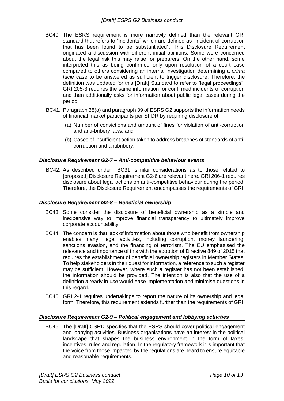- BC40. The ESRS requirement is more narrowly defined than the relevant GRI standard that refers to "incidents" which are defined as "incident of corruption that has been found to be substantiated". This Disclosure Requirement originated a discussion with different initial opinions. Some were concerned about the legal risk this may raise for preparers. On the other hand, some interpreted this as being confirmed only upon resolution of a court case compared to others considering an internal investigation determining a *prima facie* case to be answered as sufficient to trigger disclosure. Therefore, the definition was updated for this [Draft] Standard to refer to "legal proceedings". GRI 205-3 requires the same information for confirmed incidents of corruption and then additionally asks for information about public legal cases during the period.
- BC41. Paragraph 38(a) and paragraph 39 of ESRS G2 supports the information needs of financial market participants per SFDR by requiring disclosure of:
	- (a) Number of convictions and amount of fines for violation of anti-corruption and anti-bribery laws; and
	- (b) Cases of insufficient action taken to address breaches of standards of anticorruption and antibribery.

#### <span id="page-9-0"></span>*Disclosure Requirement G2-7 – Anti-competitive behaviour events*

BC42. As described under [BC31,](#page-7-2) similar considerations as to those related to [proposed] Disclosure Requirement G2-6 are relevant here. GRI 206-1 requires disclosure about legal actions on anti-competitive behaviour during the period. Therefore, the Disclosure Requirement encompasses the requirements of GRI.

#### <span id="page-9-1"></span>*Disclosure Requirement G2-8 – Beneficial ownership*

- <span id="page-9-3"></span>BC43. Some consider the disclosure of beneficial ownership as a simple and inexpensive way to improve financial transparency to ultimately improve corporate accountability.
- BC44. The concern is that lack of information about those who benefit from ownership enables many illegal activities, including corruption, money laundering, sanctions evasion, and the financing of terrorism. The EU emphasised the relevance and importance of this with the adoption of Directive 849 of 2015 that requires the establishment of beneficial ownership registers in Member States. To help stakeholders in their quest for information, a reference to such a register may be sufficient. However, where such a register has not been established, the information should be provided. The intention is also that the use of a definition already in use would ease implementation and minimise questions in this regard.
- BC45. GRI 2-1 requires undertakings to report the nature of its ownership and legal form. Therefore, this requirement extends further than the requirements of GRI.

#### <span id="page-9-2"></span>*Disclosure Requirement G2-9 – Political engagement and lobbying activities*

BC46. The [Draft] CSRD specifies that the ESRS should cover political engagement and lobbying activities. Business organisations have an interest in the political landscape that shapes the business environment in the form of taxes, incentives, rules and regulation. In the regulatory framework it is important that the voice from those impacted by the regulations are heard to ensure equitable and reasonable requirements.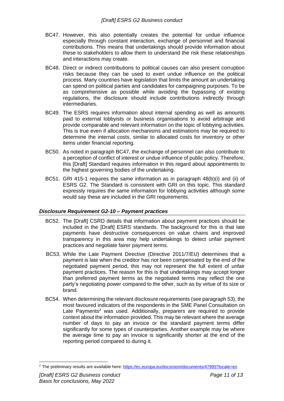- <span id="page-10-1"></span>BC47. However, this also potentially creates the potential for undue influence especially through constant interaction, exchange of personnel and financial contributions. This means that undertakings should provide information about these to stakeholders to allow them to understand the risk these relationships and interactions may create.
- BC48. Direct or indirect contributions to political causes can also present corruption risks because they can be used to exert undue influence on the political process. Many countries have legislation that limits the amount an undertaking can spend on political parties and candidates for campaigning purposes. To be as comprehensive as possible while avoiding the bypassing of existing regulations, the disclosure should include contributions indirectly through intermediaries.
- BC49. The ESRS requires information about internal spending as well as amounts paid to external lobbyists or business organisations to avoid arbitrage and provide comparable and relevant information on the topic of lobbying activities. This is true even if allocation mechanisms and estimations may be required to determine the internal costs, similar to allocated costs for inventory or other items under financial reporting.
- BC50. As noted in paragraph [BC47,](#page-10-1) the exchange of personnel can also contribute to a perception of conflict of interest or undue influence of public policy. Therefore, this [Draft] Standard requires information in this regard about appointments to the highest governing bodies of the undertaking.
- BC51. GRI 415-1 requires the same information as in paragraph 48(b)(i) and (ii) of ESRS G2. The Standard is consistent with GRI on this topic. This standard expressly requires the same information for lobbying activities although some would say these are included in the GRI requirements.

#### <span id="page-10-0"></span>*Disclosure Requirement G2-10 – Payment practices*

- BC52. The [Draft] CSRD details that information about payment practices should be included in the [Draft] ESRS standards. The background for this is that late payments have destructive consequences on value chains and improved transparency in this area may help undertakings to detect unfair payment practices and negotiate fairer payment terms.
- BC53. While the Late Payment Directive (Directive 2011/7/EU) determines that a payment is late when the creditor has not been compensated by the end of the negotiated payment period, this may not represent the full extent of unfair payment practices. The reason for this is that undertakings may accept longer than preferred payment terms as the negotiated terms may reflect the one party's negotiating power compared to the other, such as by virtue of its size or brand.
- BC54. When determining the relevant disclosure requirements (see paragraph 53), the most favoured indicators of the respondents in the SME Panel Consultation on Late Payments<sup>2</sup> was used. Additionally, preparers are required to provide context about the information provided. This may be relevant where the average number of days to pay an invoice or the standard payment terms differ significantly for some types of counterparties. Another example may be where the average time to pay an invoice is significantly shorter at the end of the reporting period compared to during it.

<sup>&</sup>lt;sup>2</sup> The preliminary results are available here:<https://ec.europa.eu/docsroom/documents/47995?locale=en>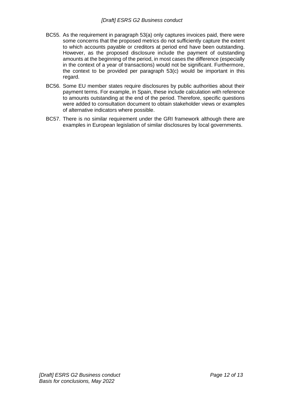- BC55. As the requirement in paragraph 53(a) only captures invoices paid, there were some concerns that the proposed metrics do not sufficiently capture the extent to which accounts payable or creditors at period end have been outstanding. However, as the proposed disclosure include the payment of outstanding amounts at the beginning of the period, in most cases the difference (especially in the context of a year of transactions) would not be significant. Furthermore, the context to be provided per paragraph 53(c) would be important in this regard.
- BC56. Some EU member states require disclosures by public authorities about their payment terms. For example, in Spain, these include calculation with reference to amounts outstanding at the end of the period. Therefore, specific questions were added to consultation document to obtain stakeholder views or examples of alternative indicators where possible.
- BC57. There is no similar requirement under the GRI framework although there are examples in European legislation of similar disclosures by local governments.